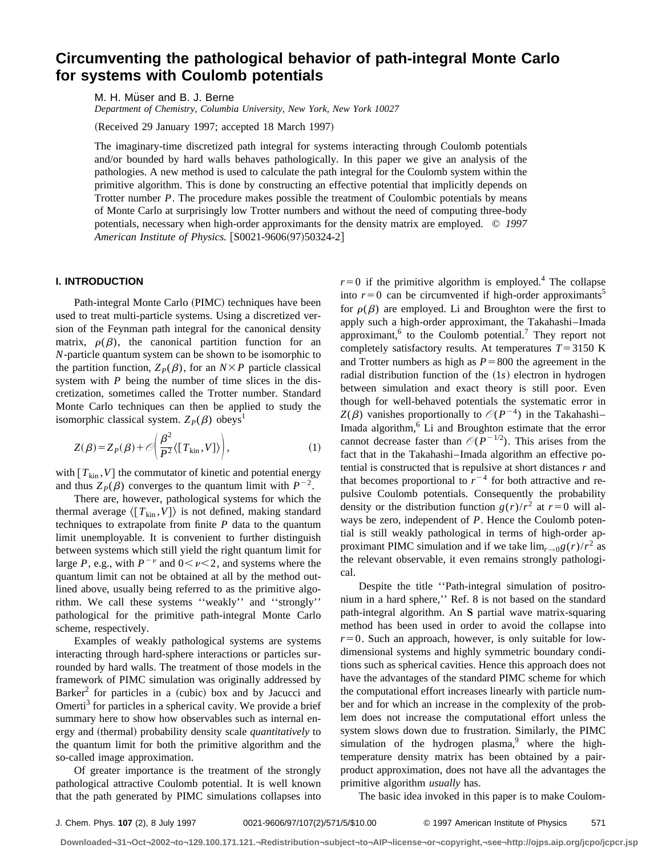# **Circumventing the pathological behavior of path-integral Monte Carlo for systems with Coulomb potentials**

M. H. Müser and B. J. Berne

*Department of Chemistry, Columbia University, New York, New York 10027*

(Received 29 January 1997; accepted 18 March 1997)

The imaginary-time discretized path integral for systems interacting through Coulomb potentials and/or bounded by hard walls behaves pathologically. In this paper we give an analysis of the pathologies. A new method is used to calculate the path integral for the Coulomb system within the primitive algorithm. This is done by constructing an effective potential that implicitly depends on Trotter number *P*. The procedure makes possible the treatment of Coulombic potentials by means of Monte Carlo at surprisingly low Trotter numbers and without the need of computing three-body potentials, necessary when high-order approximants for the density matrix are employed. © *1997 American Institute of Physics.* [S0021-9606(97)50324-2]

# **I. INTRODUCTION**

Path-integral Monte Carlo (PIMC) techniques have been used to treat multi-particle systems. Using a discretized version of the Feynman path integral for the canonical density matrix,  $\rho(\beta)$ , the canonical partition function for an *N*-particle quantum system can be shown to be isomorphic to the partition function,  $Z_P(\beta)$ , for an  $N \times P$  particle classical system with *P* being the number of time slices in the discretization, sometimes called the Trotter number. Standard Monte Carlo techniques can then be applied to study the isomorphic classical system.  $Z_p(\beta)$  obeys<sup>1</sup>

$$
Z(\beta) = Z_P(\beta) + \mathcal{O}\left(\frac{\beta^2}{P^2} \langle [T_{\rm kin}, V] \rangle\right),\tag{1}
$$

with  $[T_{kin}, V]$  the commutator of kinetic and potential energy and thus  $Z_p(\beta)$  converges to the quantum limit with  $P^{-2}$ .

There are, however, pathological systems for which the thermal average  $\langle [T_{kin}, V] \rangle$  is not defined, making standard techniques to extrapolate from finite *P* data to the quantum limit unemployable. It is convenient to further distinguish between systems which still yield the right quantum limit for large *P*, e.g., with  $P^{-\nu}$  and  $0 < \nu < 2$ , and systems where the quantum limit can not be obtained at all by the method outlined above, usually being referred to as the primitive algorithm. We call these systems ''weakly'' and ''strongly'' pathological for the primitive path-integral Monte Carlo scheme, respectively.

Examples of weakly pathological systems are systems interacting through hard-sphere interactions or particles surrounded by hard walls. The treatment of those models in the framework of PIMC simulation was originally addressed by Barker<sup>2</sup> for particles in a (cubic) box and by Jacucci and Omerti<sup>3</sup> for particles in a spherical cavity. We provide a brief summary here to show how observables such as internal energy and (thermal) probability density scale *quantitatively* to the quantum limit for both the primitive algorithm and the so-called image approximation.

Of greater importance is the treatment of the strongly pathological attractive Coulomb potential. It is well known that the path generated by PIMC simulations collapses into  $r=0$  if the primitive algorithm is employed.<sup>4</sup> The collapse into  $r=0$  can be circumvented if high-order approximants<sup>5</sup> for  $\rho(\beta)$  are employed. Li and Broughton were the first to apply such a high-order approximant, the Takahashi–Imada approximant,  $6$  to the Coulomb potential.<sup>7</sup> They report not completely satisfactory results. At temperatures  $T = 3150$  K and Trotter numbers as high as  $P=800$  the agreement in the radial distribution function of the (1s) electron in hydrogen between simulation and exact theory is still poor. Even though for well-behaved potentials the systematic error in  $Z(\beta)$  vanishes proportionally to  $\mathcal{O}(P^{-4})$  in the Takahashi-Imada algorithm,<sup>6</sup> Li and Broughton estimate that the error cannot decrease faster than  $\mathcal{O}(P^{-1/2})$ . This arises from the fact that in the Takahashi–Imada algorithm an effective potential is constructed that is repulsive at short distances *r* and that becomes proportional to  $r^{-4}$  for both attractive and repulsive Coulomb potentials. Consequently the probability density or the distribution function  $g(r)/r^2$  at  $r=0$  will always be zero, independent of *P*. Hence the Coulomb potential is still weakly pathological in terms of high-order approximant PIMC simulation and if we take  $\lim_{r\to 0} g(r)/r^2$  as the relevant observable, it even remains strongly pathological.

Despite the title ''Path-integral simulation of positronium in a hard sphere,'' Ref. 8 is not based on the standard path-integral algorithm. An **S** partial wave matrix-squaring method has been used in order to avoid the collapse into  $r=0$ . Such an approach, however, is only suitable for lowdimensional systems and highly symmetric boundary conditions such as spherical cavities. Hence this approach does not have the advantages of the standard PIMC scheme for which the computational effort increases linearly with particle number and for which an increase in the complexity of the problem does not increase the computational effort unless the system slows down due to frustration. Similarly, the PIMC simulation of the hydrogen plasma, $9$  where the hightemperature density matrix has been obtained by a pairproduct approximation, does not have all the advantages the primitive algorithm *usually* has.

The basic idea invoked in this paper is to make Coulom-

**Downloaded¬31¬Oct¬2002¬to¬129.100.171.121.¬Redistribution¬subject¬to¬AIP¬license¬or¬copyright,¬see¬http://ojps.aip.org/jcpo/jcpcr.jsp**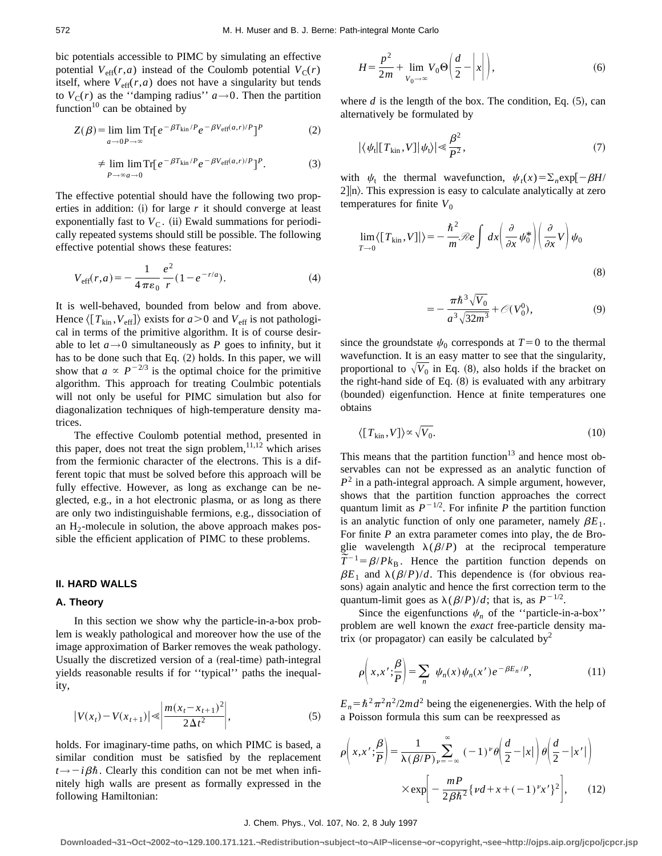bic potentials accessible to PIMC by simulating an effective potential  $V_{\text{eff}}(r,a)$  instead of the Coulomb potential  $V_{\text{C}}(r)$ itself, where  $V_{\text{eff}}(r,a)$  does not have a singularity but tends to  $V_c(r)$  as the "damping radius"  $a \rightarrow 0$ . Then the partition function $10$  can be obtained by

$$
Z(\beta) = \lim_{a \to 0} \lim_{P \to \infty} \text{Tr} [e^{-\beta T_{\text{kin}}/P} e^{-\beta V_{\text{eff}}(a,r)/P}]^P
$$
 (2)

$$
\neq \lim_{P \to \infty} \lim_{a \to 0} \text{Tr} \left[ e^{-\beta T_{\text{kin}}/P} e^{-\beta V_{\text{eff}}(a,r)/P} \right]^P. \tag{3}
$$

The effective potential should have the following two properties in addition:  $(i)$  for large  $r$  it should converge at least exponentially fast to  $V<sub>C</sub>$ . (ii) Ewald summations for periodically repeated systems should still be possible. The following effective potential shows these features:

$$
V_{\text{eff}}(r,a) = -\frac{1}{4\pi\varepsilon_0} \frac{e^2}{r} (1 - e^{-r/a}).
$$
 (4)

It is well-behaved, bounded from below and from above. Hence  $\langle [T_{kin}, V_{eff}] \rangle$  exists for  $a > 0$  and  $V_{eff}$  is not pathological in terms of the primitive algorithm. It is of course desirable to let  $a \rightarrow 0$  simultaneously as *P* goes to infinity, but it has to be done such that Eq.  $(2)$  holds. In this paper, we will show that  $a \propto P^{-2/3}$  is the optimal choice for the primitive algorithm. This approach for treating Coulmbic potentials will not only be useful for PIMC simulation but also for diagonalization techniques of high-temperature density matrices.

The effective Coulomb potential method, presented in this paper, does not treat the sign problem, $11,12$  which arises from the fermionic character of the electrons. This is a different topic that must be solved before this approach will be fully effective. However, as long as exchange can be neglected, e.g., in a hot electronic plasma, or as long as there are only two indistinguishable fermions, e.g., dissociation of an  $H_2$ -molecule in solution, the above approach makes possible the efficient application of PIMC to these problems.

### **II. HARD WALLS**

# **A. Theory**

In this section we show why the particle-in-a-box problem is weakly pathological and moreover how the use of the image approximation of Barker removes the weak pathology. Usually the discretized version of a (real-time) path-integral yields reasonable results if for ''typical'' paths the inequality,

$$
|V(x_t) - V(x_{t+1})| \le \left| \frac{m(x_t - x_{t+1})^2}{2\Delta t^2} \right|,
$$
\n(5)

holds. For imaginary-time paths, on which PIMC is based, a similar condition must be satisfied by the replacement  $t \rightarrow -i\beta\hbar$ . Clearly this condition can not be met when infinitely high walls are present as formally expressed in the following Hamiltonian:

$$
H = \frac{p^2}{2m} + \lim_{V_0 \to \infty} V_0 \Theta\left(\frac{d}{2} - \left| x \right| \right),\tag{6}
$$

where  $d$  is the length of the box. The condition, Eq.  $(5)$ , can alternatively be formulated by

$$
|\langle \psi_{t} | [T_{kin}, V] | \psi_{t} \rangle| \ll \frac{\beta^2}{P^2}, \tag{7}
$$

with  $\psi_t$  the thermal wavefunction,  $\psi_t(x) = \sum_n \exp[-\beta H/\beta]$  $2$ ] $|n\rangle$ . This expression is easy to calculate analytically at zero temperatures for finite  $V_0$ 

$$
\lim_{T \to 0} \langle [T_{\text{kin}}, V] | \rangle = -\frac{\hbar^2}{m} \mathcal{R}e \int dx \left( \frac{\partial}{\partial x} \psi_0^* \right) \left( \frac{\partial}{\partial x} V \right) \psi_0
$$
\n(8)

$$
=-\frac{\pi\hbar^3\sqrt{V_0}}{a^3\sqrt{32m^3}} + \mathcal{O}(V_0^0),\tag{9}
$$

since the groundstate  $\psi_0$  corresponds at  $T=0$  to the thermal wavefunction. It is an easy matter to see that the singularity, proportional to  $\sqrt{V_0}$  in Eq. (8), also holds if the bracket on the right-hand side of Eq.  $(8)$  is evaluated with any arbitrary (bounded) eigenfunction. Hence at finite temperatures one obtains

$$
\langle [T_{\rm kin}, V] \rangle \propto \sqrt{V_0}.
$$
\n(10)

This means that the partition function<sup>13</sup> and hence most observables can not be expressed as an analytic function of  $P<sup>2</sup>$  in a path-integral approach. A simple argument, however, shows that the partition function approaches the correct quantum limit as  $P^{-1/2}$ . For infinite P the partition function is an analytic function of only one parameter, namely  $\beta E_1$ . For finite *P* an extra parameter comes into play, the de Broglie wavelength  $\lambda(\beta/P)$  at the reciprocal temperature glie wavelength  $\lambda(\beta/P)$  at the reciprocal temperature  $\tilde{T}^{-1} = \beta/Pk_B$ . Hence the partition function depends on  $\beta E_1$  and  $\lambda(\beta/P)/d$ . This dependence is (for obvious reasons) again analytic and hence the first correction term to the quantum-limit goes as  $\lambda(\beta/P)/d$ ; that is, as  $P^{-1/2}$ .

Since the eigenfunctions  $\psi_n$  of the "particle-in-a-box" problem are well known the *exact* free-particle density matrix (or propagator) can easily be calculated by<sup>2</sup>

$$
\rho\bigg(x,x';\frac{\beta}{P}\bigg)=\sum_{n}\psi_n(x)\psi_n(x')e^{-\beta E_n/P},\qquad(11)
$$

 $E_n = \hbar^2 \pi^2 n^2/2md^2$  being the eigenenergies. With the help of a Poisson formula this sum can be reexpressed as

$$
\rho\left(x, x'; \frac{\beta}{P}\right) = \frac{1}{\lambda(\beta/P)} \sum_{\nu=-\infty}^{\infty} (-1)^{\nu} \theta\left(\frac{d}{2} - |x|\right) \theta\left(\frac{d}{2} - |x'|\right)
$$

$$
\times \exp\left[-\frac{mP}{2\beta\hbar^2} \left\{ \nu d + x + (-1)^{\nu} x' \right\}^2\right],\qquad(12)
$$

#### J. Chem. Phys., Vol. 107, No. 2, 8 July 1997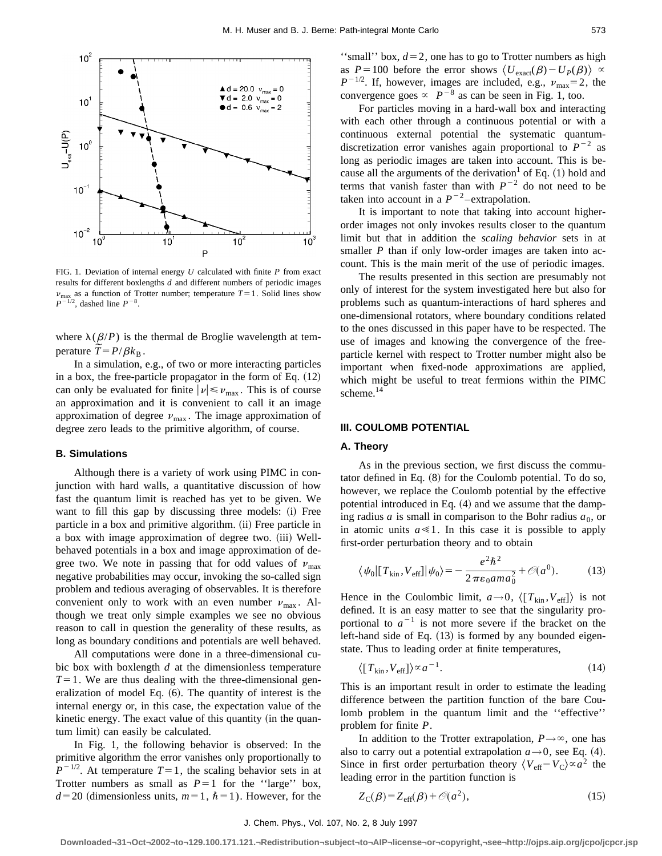

FIG. 1. Deviation of internal energy *U* calculated with finite *P* from exact results for different boxlengths *d* and different numbers of periodic images  $\nu_{\text{max}}$  as a function of Trotter number; temperature  $T=1$ . Solid lines show  $P^{-1/2}$ , dashed line  $P^{-8}$ .

where  $\lambda(\beta/P)$  is the thermal de Broglie wavelength at temwhere  $\lambda(\beta/P)$  is the perature  $\widetilde{T} = P/\beta k_{\text{B}}$ .

In a simulation, e.g., of two or more interacting particles in a box, the free-particle propagator in the form of Eq.  $(12)$ can only be evaluated for finite  $|\nu| \le \nu_{\text{max}}$ . This is of course an approximation and it is convenient to call it an image approximation of degree  $\nu_{\text{max}}$ . The image approximation of degree zero leads to the primitive algorithm, of course.

## **B. Simulations**

Although there is a variety of work using PIMC in conjunction with hard walls, a quantitative discussion of how fast the quantum limit is reached has yet to be given. We want to fill this gap by discussing three models: (i) Free particle in a box and primitive algorithm. (ii) Free particle in a box with image approximation of degree two. (iii) Wellbehaved potentials in a box and image approximation of degree two. We note in passing that for odd values of  $v_{\text{max}}$ negative probabilities may occur, invoking the so-called sign problem and tedious averaging of observables. It is therefore convenient only to work with an even number  $v_{\text{max}}$ . Although we treat only simple examples we see no obvious reason to call in question the generality of these results, as long as boundary conditions and potentials are well behaved.

All computations were done in a three-dimensional cubic box with boxlength *d* at the dimensionless temperature  $T=1$ . We are thus dealing with the three-dimensional generalization of model Eq.  $(6)$ . The quantity of interest is the internal energy or, in this case, the expectation value of the kinetic energy. The exact value of this quantity (in the quantum limit) can easily be calculated.

In Fig. 1, the following behavior is observed: In the primitive algorithm the error vanishes only proportionally to  $P^{-1/2}$ . At temperature  $T=1$ , the scaling behavior sets in at Trotter numbers as small as  $P=1$  for the "large" box,  $d=20$  (dimensionless units,  $m=1$ ,  $\hbar=1$ ). However, for the

"small" box,  $d=2$ , one has to go to Trotter numbers as high as  $P=100$  before the error shows  $\langle U_{\text{exact}}(\beta)-U_P(\beta)\rangle \propto$  $P^{-1/2}$ . If, however, images are included, e.g.,  $v_{\text{max}}=2$ , the convergence goes  $\propto P^{-8}$  as can be seen in Fig. 1, too.

For particles moving in a hard-wall box and interacting with each other through a continuous potential or with a continuous external potential the systematic quantumdiscretization error vanishes again proportional to  $P^{-2}$  as long as periodic images are taken into account. This is because all the arguments of the derivation<sup>1</sup> of Eq.  $(1)$  hold and terms that vanish faster than with  $P^{-2}$  do not need to be taken into account in a  $P^{-2}$ -extrapolation.

It is important to note that taking into account higherorder images not only invokes results closer to the quantum limit but that in addition the *scaling behavior* sets in at smaller *P* than if only low-order images are taken into account. This is the main merit of the use of periodic images.

The results presented in this section are presumably not only of interest for the system investigated here but also for problems such as quantum-interactions of hard spheres and one-dimensional rotators, where boundary conditions related to the ones discussed in this paper have to be respected. The use of images and knowing the convergence of the freeparticle kernel with respect to Trotter number might also be important when fixed-node approximations are applied, which might be useful to treat fermions within the PIMC scheme.<sup>14</sup>

# **III. COULOMB POTENTIAL**

#### **A. Theory**

As in the previous section, we first discuss the commutator defined in Eq.  $(8)$  for the Coulomb potential. To do so, however, we replace the Coulomb potential by the effective potential introduced in Eq.  $(4)$  and we assume that the damping radius *a* is small in comparison to the Bohr radius  $a_0$ , or in atomic units  $a \ll 1$ . In this case it is possible to apply first-order perturbation theory and to obtain

$$
\langle \psi_0 | [T_{\text{kin}}, V_{\text{eff}}] | \psi_0 \rangle = -\frac{e^2 \hbar^2}{2 \pi \varepsilon_0 a m a_0^2} + \mathcal{O}(a^0). \tag{13}
$$

Hence in the Coulombic limit,  $a \rightarrow 0$ ,  $\langle [T_{kin}, V_{eff}] \rangle$  is not defined. It is an easy matter to see that the singularity proportional to  $a^{-1}$  is not more severe if the bracket on the left-hand side of Eq.  $(13)$  is formed by any bounded eigenstate. Thus to leading order at finite temperatures,

$$
\langle [T_{\rm kin}, V_{\rm eff}] \rangle \propto a^{-1}.
$$
\n(14)

This is an important result in order to estimate the leading difference between the partition function of the bare Coulomb problem in the quantum limit and the ''effective'' problem for finite *P*.

In addition to the Trotter extrapolation,  $P \rightarrow \infty$ , one has also to carry out a potential extrapolation  $a \rightarrow 0$ , see Eq. (4). Since in first order perturbation theory  $\langle V_{\text{eff}} - V_C \rangle \propto a^2$  the leading error in the partition function is

$$
Z_{\rm C}(\beta) = Z_{\rm eff}(\beta) + \mathcal{O}(a^2),\tag{15}
$$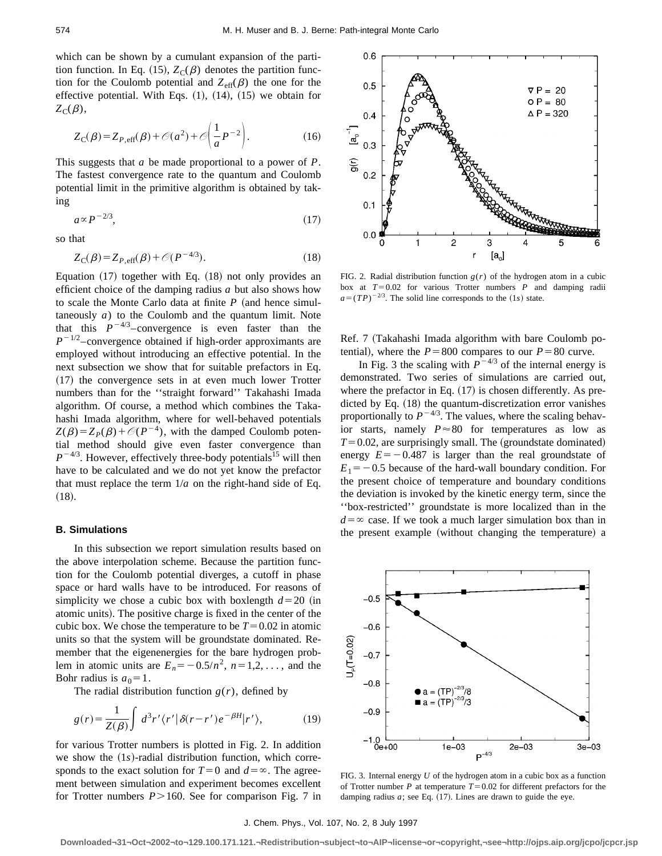which can be shown by a cumulant expansion of the partition function. In Eq. (15),  $Z_C(\beta)$  denotes the partition function for the Coulomb potential and  $Z_{\text{eff}}(\beta)$  the one for the effective potential. With Eqs.  $(1)$ ,  $(14)$ ,  $(15)$  we obtain for  $Z_C(\beta)$ ,

$$
Z_{\rm C}(\beta) = Z_{P, \text{eff}}(\beta) + \mathcal{O}(a^2) + \mathcal{O}\left(\frac{1}{a}P^{-2}\right). \tag{16}
$$

This suggests that *a* be made proportional to a power of *P*. The fastest convergence rate to the quantum and Coulomb potential limit in the primitive algorithm is obtained by taking

$$
a \propto P^{-2/3},\tag{17}
$$

so that

$$
Z_{\mathcal{C}}(\beta) = Z_{P,\text{eff}}(\beta) + \mathcal{O}(P^{-4/3}).\tag{18}
$$

Equation  $(17)$  together with Eq.  $(18)$  not only provides an efficient choice of the damping radius *a* but also shows how to scale the Monte Carlo data at finite  $P$  (and hence simultaneously *a*) to the Coulomb and the quantum limit. Note that this  $P^{-4/3}$ –convergence is even faster than the  $P^{-1/2}$ –convergence obtained if high-order approximants are employed without introducing an effective potential. In the next subsection we show that for suitable prefactors in Eq.  $(17)$  the convergence sets in at even much lower Trotter numbers than for the ''straight forward'' Takahashi Imada algorithm. Of course, a method which combines the Takahashi Imada algorithm, where for well-behaved potentials  $Z(\beta)=Z_p(\beta)+\mathcal{O}(P^{-4})$ , with the damped Coulomb potential method should give even faster convergence than  $P^{-4/3}$ . However, effectively three-body potentials<sup>15</sup> will then have to be calculated and we do not yet know the prefactor that must replace the term  $1/a$  on the right-hand side of Eq.  $(18).$ 

#### **B. Simulations**

In this subsection we report simulation results based on the above interpolation scheme. Because the partition function for the Coulomb potential diverges, a cutoff in phase space or hard walls have to be introduced. For reasons of simplicity we chose a cubic box with boxlength  $d=20$  (in atomic units). The positive charge is fixed in the center of the cubic box. We chose the temperature to be  $T=0.02$  in atomic units so that the system will be groundstate dominated. Remember that the eigenenergies for the bare hydrogen problem in atomic units are  $E_n = -0.5/n^2$ ,  $n=1,2,...$ , and the Bohr radius is  $a_0 = 1$ .

The radial distribution function  $g(r)$ , defined by

$$
g(r) = \frac{1}{Z(\beta)} \int d^3r' \langle r' | \delta(r - r')e^{-\beta H} | r' \rangle, \tag{19}
$$

for various Trotter numbers is plotted in Fig. 2. In addition we show the  $(1s)$ -radial distribution function, which corresponds to the exact solution for  $T=0$  and  $d=\infty$ . The agreement between simulation and experiment becomes excellent for Trotter numbers  $P > 160$ . See for comparison Fig. 7 in



FIG. 2. Radial distribution function  $g(r)$  of the hydrogen atom in a cubic box at  $T=0.02$  for various Trotter numbers  $P$  and damping radii  $a=(TP)^{-2/3}$ . The solid line corresponds to the (1*s*) state.

Ref. 7 (Takahashi Imada algorithm with bare Coulomb potential), where the  $P = 800$  compares to our  $P = 80$  curve.

In Fig. 3 the scaling with  $P^{-4/3}$  of the internal energy is demonstrated. Two series of simulations are carried out, where the prefactor in Eq.  $(17)$  is chosen differently. As predicted by Eq.  $(18)$  the quantum-discretization error vanishes proportionally to  $P^{-4/3}$ . The values, where the scaling behavior starts, namely  $P \approx 80$  for temperatures as low as  $T=0.02$ , are surprisingly small. The (groundstate dominated) energy  $E=-0.487$  is larger than the real groundstate of  $E_1 = -0.5$  because of the hard-wall boundary condition. For the present choice of temperature and boundary conditions the deviation is invoked by the kinetic energy term, since the ''box-restricted'' groundstate is more localized than in the  $d=\infty$  case. If we took a much larger simulation box than in the present example (without changing the temperature) a



FIG. 3. Internal energy *U* of the hydrogen atom in a cubic box as a function of Trotter number *P* at temperature  $T=0.02$  for different prefactors for the damping radius  $a$ ; see Eq.  $(17)$ . Lines are drawn to guide the eye.